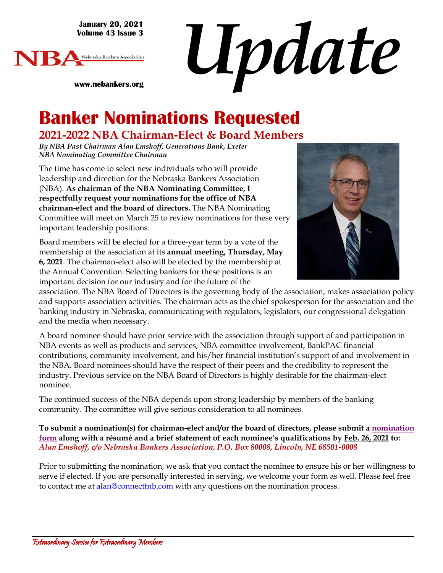**January 20, 2021 Volume 43 Issue 3**



*Update*

**www.nebankers.org**

# **Banker Nominations Requested**

### **2021-2022 NBA Chairman-Elect & Board Members**

*By NBA Past Chairman Alan Emshoff, Generations Bank, Exeter NBA Nominating Committee Chairman* 

The time has come to select new individuals who will provide leadership and direction for the Nebraska Bankers Association (NBA). **As chairman of the NBA Nominating Committee, I respectfully request your nominations for the office of NBA chairman-elect and the board of directors.** The NBA Nominating Committee will meet on March 25 to review nominations for these very important leadership positions.

Board members will be elected for a three-year term by a vote of the membership of the association at its **annual meeting, Thursday, May 6, 2021**. The chairman-elect also will be elected by the membership at the Annual Convention. Selecting bankers for these positions is an important decision for our industry and for the future of the



association. The NBA Board of Directors is the governing body of the association, makes association policy and supports association activities. The chairman acts as the chief spokesperson for the association and the banking industry in Nebraska, communicating with regulators, legislators, our congressional delegation and the media when necessary.

A board nominee should have prior service with the association through support of and participation in NBA events as well as products and services, NBA committee involvement, BankPAC financial contributions, community involvement, and his/her financial institution's support of and involvement in the NBA. Board nominees should have the respect of their peers and the credibility to represent the industry. Previous service on the NBA Board of Directors is highly desirable for the chairman-elect nominee.

The continued success of the NBA depends upon strong leadership by members of the banking community. The committee will give serious consideration to all nominees.

**To submit a nomination(s) for chairman-elect and/or the board of directors, please submit a [nomination](https://files.constantcontact.com/04201a2f101/0111b65b-00e4-4951-b45d-186d9bdc5873.pdf)  [form](https://files.constantcontact.com/04201a2f101/0111b65b-00e4-4951-b45d-186d9bdc5873.pdf) along with a résumé and a brief statement of each nominee's qualifications by Feb. 26, 2021 to:**  *Alan Emshoff, c/o Nebraska Bankers Association, P.O. Box 80008, Lincoln, NE 68501-0008*

Prior to submitting the nomination, we ask that you contact the nominee to ensure his or her willingness to serve if elected. If you are personally interested in serving, we welcome your form as well. Please feel free to contact me at [alan@connectfnb.com](mailto:alan@connectfnb.com) with any questions on the nomination process.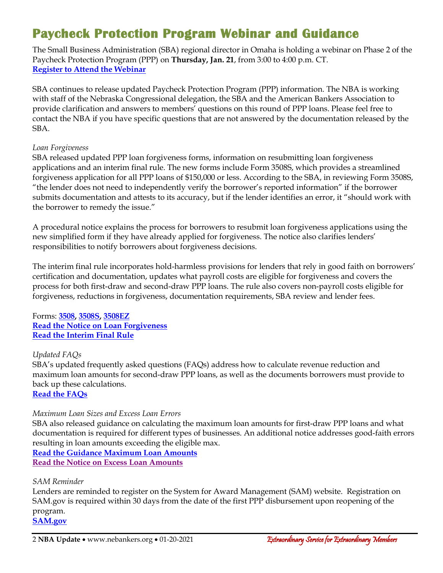# **Paycheck Protection Program Webinar and Guidance**

The Small Business Administration (SBA) regional director in Omaha is holding a webinar on Phase 2 of the Paycheck Protection Program (PPP) on **Thursday, Jan. 21**, from 3:00 to 4:00 p.m. CT. **[Register to Attend the Webinar](https://us02web.zoom.us/meeting/register/tZIkcumuqjgvHdPTw-HbgSARKvLK6ZCza2iW)**

SBA continues to release updated Paycheck Protection Program (PPP) information. The NBA is working with staff of the Nebraska Congressional delegation, the SBA and the American Bankers Association to provide clarification and answers to members' questions on this round of PPP loans. Please feel free to contact the NBA if you have specific questions that are not answered by the documentation released by the SBA.

#### *Loan Forgiveness*

SBA released updated PPP loan forgiveness forms, information on resubmitting loan forgiveness applications and an interim final rule. The new forms include Form 3508S, which provides a streamlined forgiveness application for all PPP loans of \$150,000 or less. According to the SBA, in reviewing Form 3508S, "the lender does not need to independently verify the borrower's reported information" if the borrower submits documentation and attests to its accuracy, but if the lender identifies an error, it "should work with the borrower to remedy the issue."

A procedural notice explains the process for borrowers to resubmit loan forgiveness applications using the new simplified form if they have already applied for forgiveness. The notice also clarifies lenders' responsibilities to notify borrowers about forgiveness decisions.

The interim final rule incorporates hold-harmless provisions for lenders that rely in good faith on borrowers' certification and documentation, updates what payroll costs are eligible for forgiveness and covers the process for both first-draw and second-draw PPP loans. The rule also covers non-payroll costs eligible for forgiveness, reductions in forgiveness, documentation requirements, SBA review and lender fees.

Forms: **[3508,](https://www.sba.gov/sites/default/files/2021-01/PPP%20--%20Loan%20Forgiveness%20Application%20and%20Instructions%20--%20Form%203508%20%281.19.2021%29.pdf) [3508S,](https://www.sba.gov/sites/default/files/2021-01/PPP%20--%20Loan%20Forgiveness%20Application%20and%20Instructions%20--%20Form%203508S%20%281.19.2021%29.pdf) [3508EZ](https://www.sba.gov/sites/default/files/2021-01/PPP%20--%20Loan%20Forgiveness%20Application%20and%20Instructions%20--%20Form%203508EZ%20%281.19.2021%29.pdf) [Read the Notice on Loan Forgiveness](https://www.sba.gov/sites/default/files/2021-01/5000-20077_0.pdf) Read the [Interim Final Rule](https://www.sba.gov/sites/default/files/2021-01/PPP%20--%20IFR%20--%20Loan%20Forgiveness%20Requirements%20and%20Loan%20Review%20Procedures%20as%20Amended%20by%20Economic%20Aid%20Act%20%281.19.2021%29.pdf)**

#### *Updated FAQs*

SBA's updated frequently asked questions (FAQs) address how to calculate revenue reduction and maximum loan amounts for second-draw PPP loans, as well as the documents borrowers must provide to back up these calculations.

**[Read the FAQs](https://www.sba.gov/sites/default/files/2021-01/Second%20Draw%20PPP%20Loans%20--%20How%20to%20Calculate%20Revenue%20Reduction%20and%20Maximum%20Loan%20Amounts%20Including%20What%20Documentation%20to%20Provide%20%281.19.2021%29.pdf)**

#### *Maximum Loan Sizes and Excess Loan Errors*

SBA also released guidance on calculating the maximum loan amounts for first-draw PPP loans and what documentation is required for different types of businesses. An additional notice addresses good-faith errors resulting in loan amounts exceeding the eligible max.

**[Read the Guidance Maximum Loan Amounts](https://www.sba.gov/sites/default/files/2021-01/PPP%20--%20How%20to%20Calculate%20Maximum%20Loan%20Amounts%20for%20First%20Draw%20PPP%20Loans%20and%20What%20Documentation%20to%20Provide%20%E2%80%93%20By%20Business%20Type%20%281.17.2021%29.pdf) [Read the Notice on Excess Loan Amounts](https://www.sba.gov/sites/default/files/2021-01/5000-20078_0.pdf)**

#### *SAM Reminder*

Lenders are reminded to register on the System for Award Management (SAM) website. Registration on SAM.gov is required within 30 days from the date of the first PPP disbursement upon reopening of the program.

**[SAM.gov](https://sam.gov/SAM/)**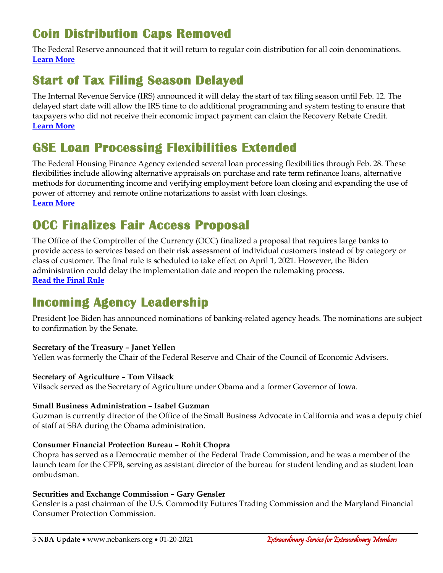# **Coin Distribution Caps Removed**

The Federal Reserve announced that it will return to regular coin distribution for all coin denominations. **[Learn More](https://www.frbservices.org/news/communications/011321-cash-coin-allocation-removed-effective-january-15-2021.html)**

# **Start of Tax Filing Season Delayed**

The Internal Revenue Service (IRS) announced it will delay the start of tax filing season until Feb. 12. The delayed start date will allow the IRS time to do additional programming and system testing to ensure that taxpayers who did not receive their economic impact payment can claim the Recovery Rebate Credit. **[Learn More](https://www.irs.gov/newsroom/2021-tax-filing-season-begins-feb-12-irs-outlines-steps-to-speed-refunds-during-pandemic)**

## **GSE Loan Processing Flexibilities Extended**

The Federal Housing Finance Agency extended several loan processing flexibilities through Feb. 28. These flexibilities include allowing alternative appraisals on purchase and rate term refinance loans, alternative methods for documenting income and verifying employment before loan closing and expanding the use of power of attorney and remote online notarizations to assist with loan closings. **[Learn More](https://www.fhfa.gov/Media/PublicAffairs/Pages/FHFA-Further-Extends-COVID-Related-Loan-Flexibilities-1142021.aspx)**

### **OCC Finalizes Fair Access Proposal**

The Office of the Comptroller of the Currency (OCC) finalized a proposal that requires large banks to provide access to services based on their risk assessment of individual customers instead of by category or class of customer. The final rule is scheduled to take effect on April 1, 2021. However, the Biden administration could delay the implementation date and reopen the rulemaking process. **[Read the Final Rule](https://occ.gov/news-issuances/federal-register/2021/nr-occ-2021-8a.pdf)**

### **Incoming Agency Leadership**

President Joe Biden has announced nominations of banking-related agency heads. The nominations are subject to confirmation by the Senate.

#### **Secretary of the Treasury – Janet Yellen**

Yellen was formerly the Chair of the Federal Reserve and Chair of the Council of Economic Advisers.

#### **Secretary of Agriculture – Tom Vilsack**

Vilsack served as the Secretary of Agriculture under Obama and a former Governor of Iowa.

#### **Small Business Administration – Isabel Guzman**

Guzman is currently director of the Office of the Small Business Advocate in California and was a deputy chief of staff at SBA during the Obama administration.

#### **Consumer Financial Protection Bureau – Rohit Chopra**

Chopra has served as a Democratic member of the Federal Trade Commission, and he was a member of the launch team for the CFPB, serving as assistant director of the bureau for student lending and as student loan ombudsman.

#### **Securities and Exchange Commission – Gary Gensler**

Gensler is a past chairman of the U.S. Commodity Futures Trading Commission and the Maryland Financial Consumer Protection Commission.